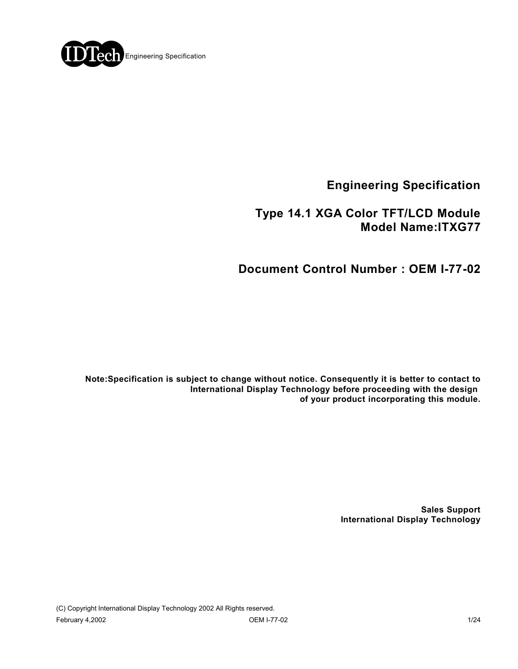

**Engineering Specification**

## **Type 14.1 XGA Color TFT/LCD Module Model Name:ITXG77**

**Document Control Number : OEM I-77-02**

**Note:Specification is subject to change without notice. Consequently it is better to contact to International Display Technology before proceeding with the design of your product incorporating this module.**

> **Sales Support International Display Technology**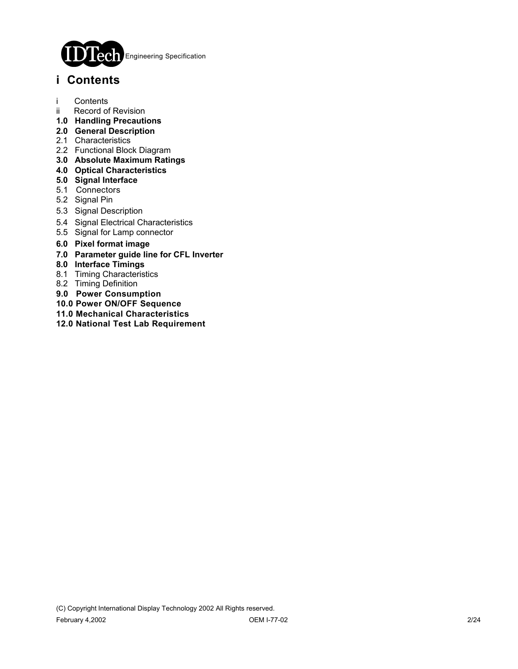

# **i Contents**

- i Contents
- ii Record of Revision
- **1.0 Handling Precautions**
- **2.0 General Description**
- 2.1 Characteristics
- 2.2 Functional Block Diagram
- **3.0 Absolute Maximum Ratings**
- **4.0 Optical Characteristics**
- **5.0 Signal Interface**
- 5.1 Connectors
- 5.2 Signal Pin
- 5.3 Signal Description
- 5.4 Signal Electrical Characteristics
- 5.5 Signal for Lamp connector
- **6.0 Pixel format image**
- **7.0 Parameter guide line for CFL Inverter**
- **8.0 Interface Timings**
- 8.1 Timing Characteristics
- 8.2 Timing Definition
- **9.0 Power Consumption**
- **10.0 Power ON/OFF Sequence**
- **11.0 Mechanical Characteristics**
- **12.0 National Test Lab Requirement**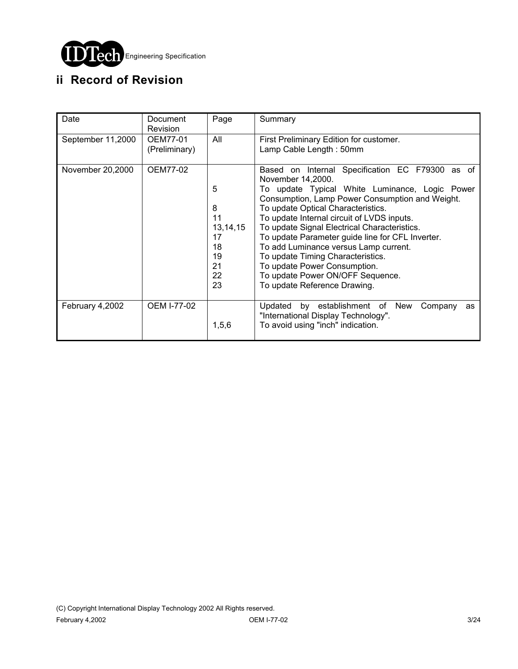

# **ii Record of Revision**

| Date              | Document<br><b>Revision</b> | Page                                                           | Summary                                                                                                                                                                                                                                                                                                                                                                                                                                                                                                                                             |
|-------------------|-----------------------------|----------------------------------------------------------------|-----------------------------------------------------------------------------------------------------------------------------------------------------------------------------------------------------------------------------------------------------------------------------------------------------------------------------------------------------------------------------------------------------------------------------------------------------------------------------------------------------------------------------------------------------|
| September 11,2000 | OEM77-01<br>(Preliminary)   | All                                                            | First Preliminary Edition for customer.<br>Lamp Cable Length: 50mm                                                                                                                                                                                                                                                                                                                                                                                                                                                                                  |
| November 20,2000  | OEM77-02                    | 5<br>8<br>11<br>13, 14, 15<br>17<br>18<br>19<br>21<br>22<br>23 | Based on Internal Specification EC F79300 as of<br>November 14,2000.<br>To update Typical White Luminance, Logic Power<br>Consumption, Lamp Power Consumption and Weight.<br>To update Optical Characteristics.<br>To update Internal circuit of LVDS inputs.<br>To update Signal Electrical Characteristics.<br>To update Parameter guide line for CFL Inverter.<br>To add Luminance versus Lamp current.<br>To update Timing Characteristics.<br>To update Power Consumption.<br>To update Power ON/OFF Sequence.<br>To update Reference Drawing. |
| February 4,2002   | <b>OEM I-77-02</b>          | 1, 5, 6                                                        | Updated by establishment of New<br>Company<br>as<br>"International Display Technology".<br>To avoid using "inch" indication.                                                                                                                                                                                                                                                                                                                                                                                                                        |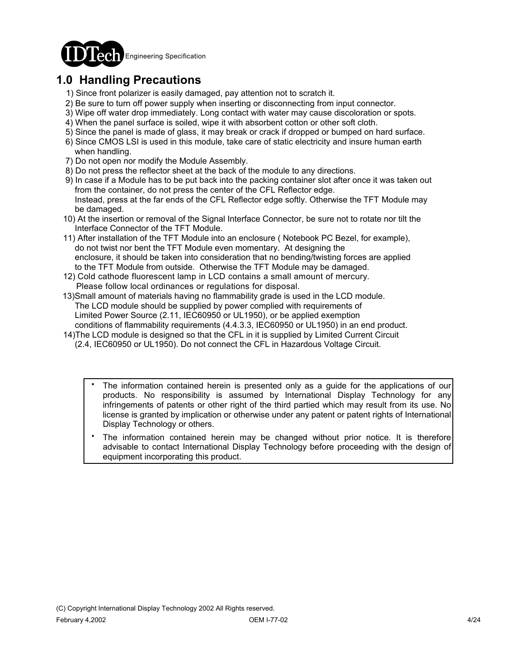

# **1.0 Handling Precautions**

- 1) Since front polarizer is easily damaged, pay attention not to scratch it.
- 2) Be sure to turn off power supply when inserting or disconnecting from input connector.
- 3) Wipe off water drop immediately. Long contact with water may cause discoloration or spots.
- 4) When the panel surface is soiled, wipe it with absorbent cotton or other soft cloth.
- 5) Since the panel is made of glass, it may break or crack if dropped or bumped on hard surface.
- 6) Since CMOS LSI is used in this module, take care of static electricity and insure human earth when handling.
- 7) Do not open nor modify the Module Assembly.
- 8) Do not press the reflector sheet at the back of the module to any directions.
- 9) In case if a Module has to be put back into the packing container slot after once it was taken out from the container, do not press the center of the CFL Reflector edge. Instead, press at the far ends of the CFL Reflector edge softly. Otherwise the TFT Module may be damaged.
- 10) At the insertion or removal of the Signal Interface Connector, be sure not to rotate nor tilt the Interface Connector of the TFT Module.
- 11) After installation of the TFT Module into an enclosure ( Notebook PC Bezel, for example), do not twist nor bent the TFT Module even momentary. At designing the enclosure, it should be taken into consideration that no bending/twisting forces are applied to the TFT Module from outside. Otherwise the TFT Module may be damaged.
- 12) Cold cathode fluorescent lamp in LCD contains a small amount of mercury. Please follow local ordinances or regulations for disposal.
- 13)Small amount of materials having no flammability grade is used in the LCD module. The LCD module should be supplied by power complied with requirements of Limited Power Source (2.11, IEC60950 or UL1950), or be applied exemption conditions of flammability requirements (4.4.3.3, IEC60950 or UL1950) in an end product.
- 14)The LCD module is designed so that the CFL in it is supplied by Limited Current Circuit (2.4, IEC60950 or UL1950). Do not connect the CFL in Hazardous Voltage Circuit.
	- The information contained herein is presented only as a guide for the applications of our products. No responsibility is assumed by International Display Technology for any infringements of patents or other right of the third partied which may result from its use. No license is granted by implication or otherwise under any patent or patent rights of International Display Technology or others. .
	- The information contained herein may be changed without prior notice. It is therefore advisable to contact International Display Technology before proceeding with the design of equipment incorporating this product. .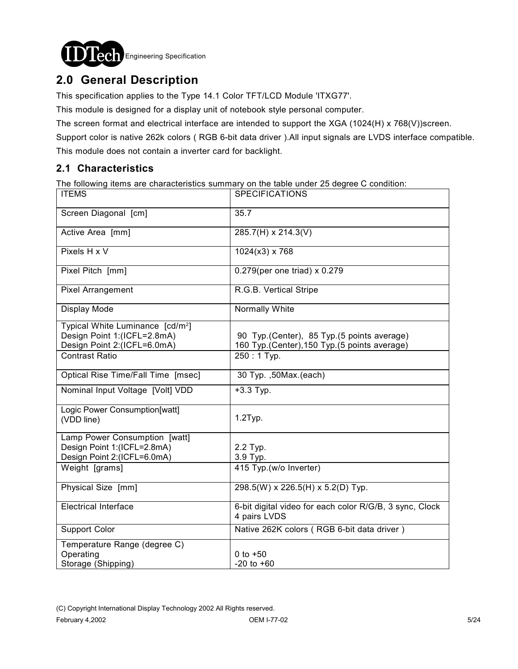

# **2.0 General Description**

This specification applies to the Type 14.1 Color TFT/LCD Module 'ITXG77'.

This module is designed for a display unit of notebook style personal computer.

The screen format and electrical interface are intended to support the XGA (1024(H) x 768(V))screen.

Support color is native 262k colors ( RGB 6-bit data driver ).All input signals are LVDS interface compatible.

This module does not contain a inverter card for backlight.

### **2.1 Characteristics**

The following items are characteristics summary on the table under 25 degree C condition:

| <b>ITEMS</b>                                                                                               | <b>SPECIFICATIONS</b>                                                                        |
|------------------------------------------------------------------------------------------------------------|----------------------------------------------------------------------------------------------|
| Screen Diagonal [cm]                                                                                       | 35.7                                                                                         |
| Active Area [mm]                                                                                           | 285.7(H) x 214.3(V)                                                                          |
| Pixels H x V                                                                                               | $1024(x3)$ x 768                                                                             |
| Pixel Pitch [mm]                                                                                           | 0.279(per one triad) x 0.279                                                                 |
| Pixel Arrangement                                                                                          | R.G.B. Vertical Stripe                                                                       |
| Display Mode                                                                                               | Normally White                                                                               |
| Typical White Luminance [cd/m <sup>2</sup> ]<br>Design Point 1:(ICFL=2.8mA)<br>Design Point 2:(ICFL=6.0mA) | 90 Typ. (Center), 85 Typ. (5 points average)<br>160 Typ.(Center), 150 Typ.(5 points average) |
| <b>Contrast Ratio</b>                                                                                      | $250:1$ Typ.                                                                                 |
| Optical Rise Time/Fall Time [msec]                                                                         | 30 Typ. , 50 Max. (each)                                                                     |
| Nominal Input Voltage [Volt] VDD                                                                           | $+3.3$ Typ.                                                                                  |
| Logic Power Consumption[watt]<br>(VDD line)                                                                | $1.2$ Typ.                                                                                   |
| Lamp Power Consumption [watt]<br>Design Point 1:(ICFL=2.8mA)<br>Design Point 2:(ICFL=6.0mA)                | 2.2 Typ.<br>3.9 Typ.                                                                         |
| Weight [grams]                                                                                             | 415 Typ.(w/o Inverter)                                                                       |
| Physical Size [mm]                                                                                         | 298.5(W) x 226.5(H) x 5.2(D) Typ.                                                            |
| <b>Electrical Interface</b>                                                                                | 6-bit digital video for each color R/G/B, 3 sync, Clock<br>4 pairs LVDS                      |
| <b>Support Color</b>                                                                                       | Native 262K colors (RGB 6-bit data driver)                                                   |
| Temperature Range (degree C)<br>Operating<br>Storage (Shipping)                                            | $0$ to $+50$<br>$-20$ to $+60$                                                               |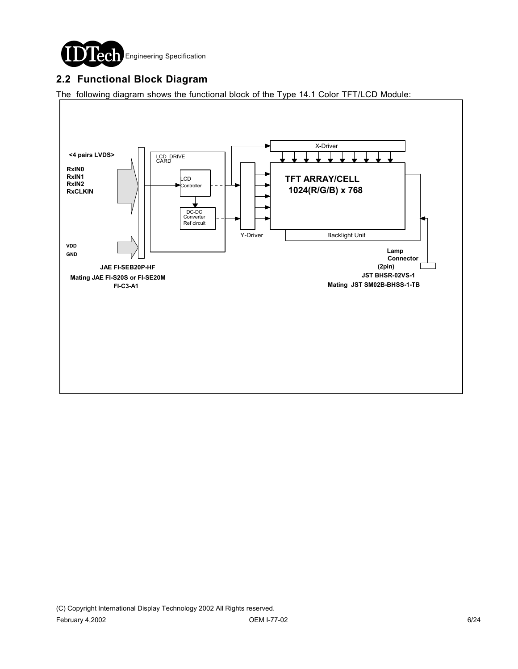

### **2.2 Functional Block Diagram**

The following diagram shows the functional block of the Type 14.1 Color TFT/LCD Module:

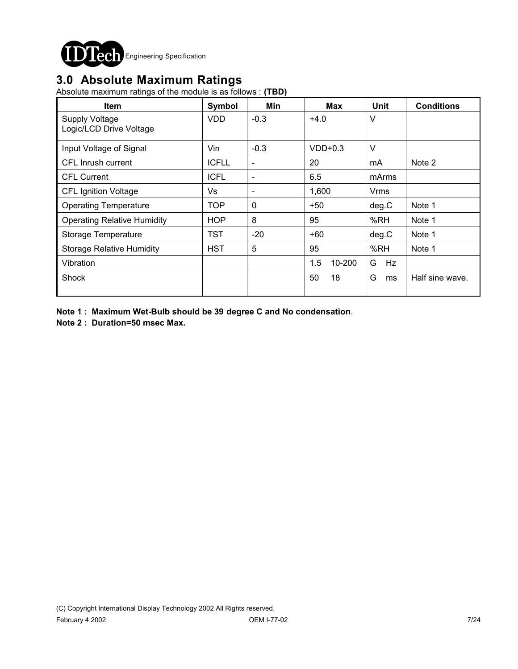

## **3.0 Absolute Maximum Ratings**

Absolute maximum ratings of the module is as follows : **(TBD)**

| <b>Item</b>                                      | Symbol       | Min                      | <b>Max</b>    | <b>Unit</b> | <b>Conditions</b> |
|--------------------------------------------------|--------------|--------------------------|---------------|-------------|-------------------|
| <b>Supply Voltage</b><br>Logic/LCD Drive Voltage | <b>VDD</b>   | $-0.3$                   | $+4.0$        | V           |                   |
| Input Voltage of Signal                          | Vin          | $-0.3$                   | $VDD+0.3$     | V           |                   |
| CFL Inrush current                               | <b>ICFLL</b> | $\overline{\phantom{a}}$ | 20            | mA          | Note 2            |
| <b>CFL Current</b>                               | <b>ICFL</b>  | $\overline{\phantom{a}}$ | 6.5           | mArms       |                   |
| <b>CFL Ignition Voltage</b>                      | Vs           | $\overline{\phantom{a}}$ | 1,600         | Vrms        |                   |
| <b>Operating Temperature</b>                     | <b>TOP</b>   | $\mathbf{0}$             | $+50$         | deg.C       | Note 1            |
| <b>Operating Relative Humidity</b>               | <b>HOP</b>   | 8                        | 95            | %RH         | Note 1            |
| Storage Temperature                              | TST          | $-20$                    | $+60$         | deg.C       | Note 1            |
| <b>Storage Relative Humidity</b>                 | <b>HST</b>   | 5                        | 95            | %RH         | Note 1            |
| Vibration                                        |              |                          | 1.5<br>10-200 | G<br>Hz     |                   |
| Shock                                            |              |                          | 50<br>18      | G<br>ms     | Half sine wave.   |

**Note 1 : Maximum Wet-Bulb should be 39 degree C and No condensation**.

**Note 2 : Duration=50 msec Max.**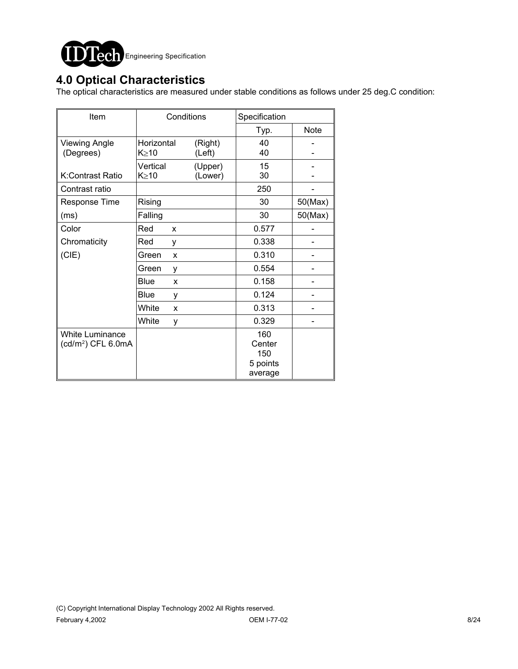

## **4.0 Optical Characteristics**

The optical characteristics are measured under stable conditions as follows under 25 deg.C condition:

| Item                                                     | Conditions              |                    |      | Specification                               |         |  |
|----------------------------------------------------------|-------------------------|--------------------|------|---------------------------------------------|---------|--|
|                                                          |                         |                    | Typ. | <b>Note</b>                                 |         |  |
| <b>Viewing Angle</b><br>(Degrees)                        | Horizontal<br>K≥10      | (Right)<br>(Left)  |      | 40<br>40                                    |         |  |
| K:Contrast Ratio                                         | Vertical<br>$K \geq 10$ | (Upper)<br>(Lower) |      | 15<br>30                                    |         |  |
| Contrast ratio                                           |                         |                    |      | 250                                         |         |  |
| <b>Response Time</b>                                     | Rising                  |                    |      | 30                                          | 50(Max) |  |
| (ms)                                                     | Falling                 |                    |      | 30                                          | 50(Max) |  |
| Color                                                    | Red<br>X                |                    |      | 0.577                                       |         |  |
| Chromaticity                                             | Red<br>у                |                    |      | 0.338                                       |         |  |
| (CIE)                                                    | Green                   | X                  |      | 0.310                                       |         |  |
|                                                          | Green                   | у                  |      | 0.554                                       |         |  |
|                                                          | <b>Blue</b>             | X                  |      | 0.158                                       |         |  |
|                                                          | Blue                    | у                  |      | 0.124                                       |         |  |
|                                                          | White                   | X                  |      | 0.313                                       |         |  |
|                                                          | White                   | у                  |      | 0.329                                       |         |  |
| <b>White Luminance</b><br>(cd/m <sup>2</sup> ) CFL 6.0mA |                         |                    |      | 160<br>Center<br>150<br>5 points<br>average |         |  |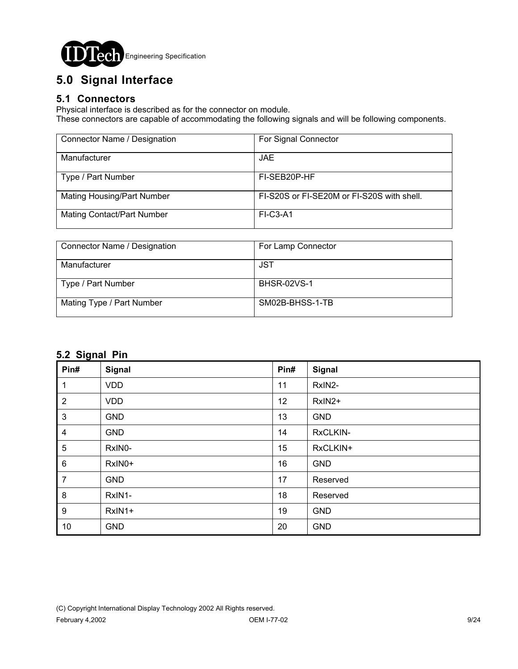

# **5.0 Signal Interface**

#### **5.1 Connectors**

Physical interface is described as for the connector on module.

These connectors are capable of accommodating the following signals and will be following components.

| Connector Name / Designation      | For Signal Connector                       |
|-----------------------------------|--------------------------------------------|
| Manufacturer                      | <b>JAE</b>                                 |
| Type / Part Number                | FI-SEB20P-HF                               |
| <b>Mating Housing/Part Number</b> | FI-S20S or FI-SE20M or FI-S20S with shell. |
| <b>Mating Contact/Part Number</b> | $FI-C3-A1$                                 |

| Connector Name / Designation | For Lamp Connector |
|------------------------------|--------------------|
|                              |                    |
| Manufacturer                 | JST                |
|                              |                    |
| Type / Part Number           | <b>BHSR-02VS-1</b> |
|                              |                    |
| Mating Type / Part Number    | SM02B-BHSS-1-TB    |
|                              |                    |
|                              |                    |

### **5.2 Signal Pin**

| ∼<br>Pin#        | Signal     | Pin# | Signal     |
|------------------|------------|------|------------|
| 1                | <b>VDD</b> | 11   | RxIN2-     |
| $\overline{2}$   | <b>VDD</b> | 12   | RxIN2+     |
| $\mathbf{3}$     | <b>GND</b> | 13   | <b>GND</b> |
| 4                | <b>GND</b> | 14   | RxCLKIN-   |
| 5                | RxIN0-     | 15   | RxCLKIN+   |
| $\,6\,$          | RxIN0+     | 16   | <b>GND</b> |
| $\overline{7}$   | <b>GND</b> | 17   | Reserved   |
| $\bf 8$          | RxIN1-     | 18   | Reserved   |
| $\boldsymbol{9}$ | RxIN1+     | 19   | <b>GND</b> |
| 10               | <b>GND</b> | 20   | <b>GND</b> |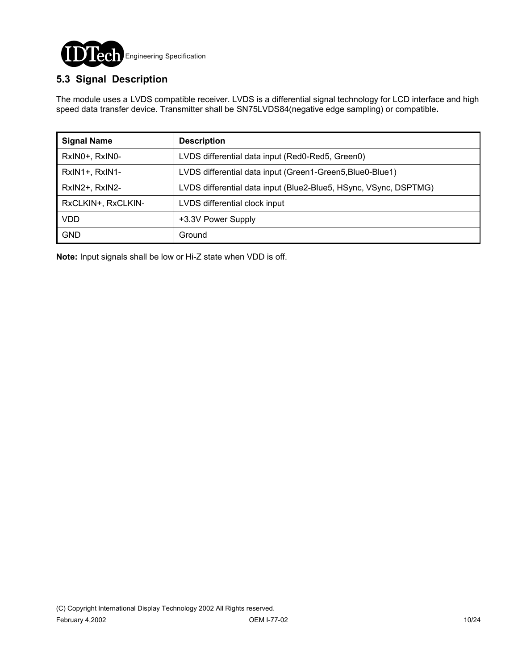

### **5.3 Signal Description**

The module uses a LVDS compatible receiver. LVDS is a differential signal technology for LCD interface and high speed data transfer device. Transmitter shall be SN75LVDS84(negative edge sampling) or compatible**.**

| <b>Signal Name</b> | <b>Description</b>                                               |
|--------------------|------------------------------------------------------------------|
| RxIN0+, RxIN0-     | LVDS differential data input (Red0-Red5, Green0)                 |
| RxIN1+, RxIN1-     | LVDS differential data input (Green1-Green5, Blue0-Blue1)        |
| RxIN2+, RxIN2-     | LVDS differential data input (Blue2-Blue5, HSync, VSync, DSPTMG) |
| RxCLKIN+, RxCLKIN- | LVDS differential clock input                                    |
| <b>VDD</b>         | +3.3V Power Supply                                               |
| <b>GND</b>         | Ground                                                           |

**Note:** Input signals shall be low or Hi-Z state when VDD is off.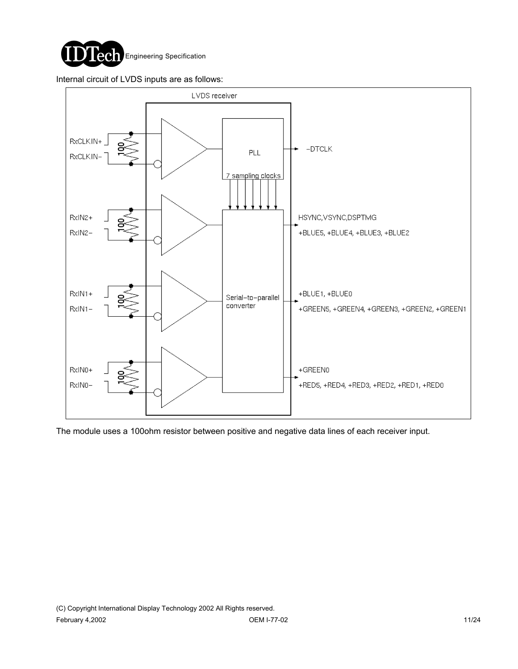

Internal circuit of LVDS inputs are as follows:



The module uses a 100ohm resistor between positive and negative data lines of each receiver input.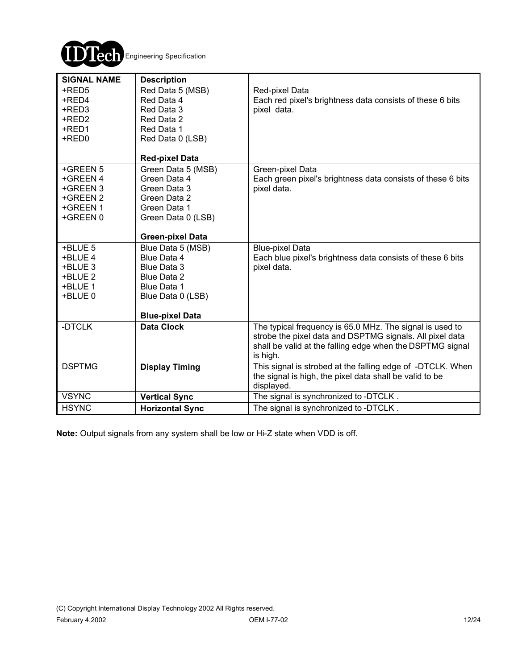

| <b>SIGNAL NAME</b> | <b>Description</b>             |                                                                             |
|--------------------|--------------------------------|-----------------------------------------------------------------------------|
| +RED5<br>+RED4     | Red Data 5 (MSB)<br>Red Data 4 | Red-pixel Data<br>Each red pixel's brightness data consists of these 6 bits |
| +RED3              | Red Data 3                     | pixel data.                                                                 |
| +RED2              | Red Data 2                     |                                                                             |
| +RED1              | Red Data 1                     |                                                                             |
| +RED0              | Red Data 0 (LSB)               |                                                                             |
|                    | <b>Red-pixel Data</b>          |                                                                             |
| +GREEN 5           | Green Data 5 (MSB)             | Green-pixel Data                                                            |
| +GREEN 4           | Green Data 4                   | Each green pixel's brightness data consists of these 6 bits                 |
| +GREEN 3           | Green Data 3                   | pixel data.                                                                 |
| +GREEN 2           | Green Data 2                   |                                                                             |
| +GREEN 1           | Green Data 1                   |                                                                             |
| +GREEN 0           | Green Data 0 (LSB)             |                                                                             |
|                    | <b>Green-pixel Data</b>        |                                                                             |
| +BLUE 5            | Blue Data 5 (MSB)              | <b>Blue-pixel Data</b>                                                      |
| +BLUE 4            | Blue Data 4                    | Each blue pixel's brightness data consists of these 6 bits                  |
| +BLUE 3            | Blue Data 3                    | pixel data.                                                                 |
| +BLUE 2            | Blue Data 2                    |                                                                             |
| +BLUE 1            | Blue Data 1                    |                                                                             |
| +BLUE 0            | Blue Data 0 (LSB)              |                                                                             |
|                    |                                |                                                                             |
|                    | <b>Blue-pixel Data</b>         |                                                                             |
| -DTCLK             | <b>Data Clock</b>              | The typical frequency is 65.0 MHz. The signal is used to                    |
|                    |                                | strobe the pixel data and DSPTMG signals. All pixel data                    |
|                    |                                | shall be valid at the falling edge when the DSPTMG signal                   |
|                    |                                | is high.                                                                    |
| <b>DSPTMG</b>      | <b>Display Timing</b>          | This signal is strobed at the falling edge of -DTCLK. When                  |
|                    |                                | the signal is high, the pixel data shall be valid to be                     |
| <b>VSYNC</b>       |                                | displayed.<br>The signal is synchronized to -DTCLK.                         |
|                    | <b>Vertical Sync</b>           |                                                                             |
| <b>HSYNC</b>       | <b>Horizontal Sync</b>         | The signal is synchronized to -DTCLK.                                       |

**Note:** Output signals from any system shall be low or Hi-Z state when VDD is off.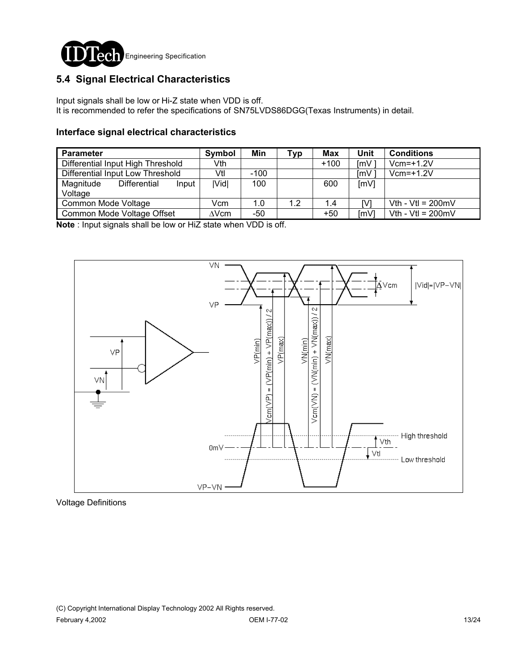

### **5.4 Signal Electrical Characteristics**

Input signals shall be low or Hi-Z state when VDD is off. It is recommended to refer the specifications of SN75LVDS86DGG(Texas Instruments) in detail.

#### **Interface signal electrical characteristics**

| <b>Parameter</b>                  |                            | Symbol | Min          | Typ | Max | Unit   | <b>Conditions</b>           |                             |
|-----------------------------------|----------------------------|--------|--------------|-----|-----|--------|-----------------------------|-----------------------------|
| Differential Input High Threshold |                            |        | Vth          |     |     | $+100$ | ImV                         | $Vcm=+1.2V$                 |
| Differential Input Low Threshold  |                            | Vtl    | $-100$       |     |     | ImV    | $Vcm=+1.2V$                 |                             |
| Magnitude<br>Voltage              | Differential               | Input  | <b>IVidl</b> | 100 |     | 600    | [mV]                        |                             |
| Common Mode Voltage               |                            | Vcm    | 1.0          | 1.2 | 1.4 | IV.    | Vth - Vtl = $200 \text{mV}$ |                             |
|                                   | Common Mode Voltage Offset |        | $\Delta$ Vcm | -50 |     | $+50$  | [mV]                        | Vth - Vtl = $200 \text{mV}$ |

**Note** : Input signals shall be low or HiZ state when VDD is off.



Voltage Definitions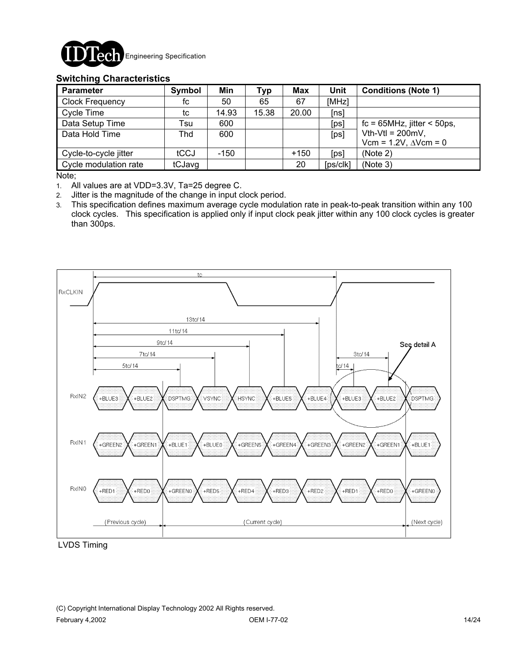

#### **Switching Characteristics**

| <b>Parameter</b>       | Symbol | Min    | <b>Typ</b> | <b>Max</b> | Unit     | <b>Conditions (Note 1)</b>          |
|------------------------|--------|--------|------------|------------|----------|-------------------------------------|
| <b>Clock Frequency</b> | fc     | 50     | 65         | 67         | [MHz]    |                                     |
| Cycle Time             | tc     | 14.93  | 15.38      | 20.00      | [ns]     |                                     |
| Data Setup Time        | Tsu    | 600    |            |            | [ps]     | $fc = 65 MHz$ , jitter < 50ps,      |
| Data Hold Time         | Thd    | 600    |            |            | [ps]     | Vth-Vtl = $200mV$ ,                 |
|                        |        |        |            |            |          | Vcm = $1.2V$ , $\triangle V$ cm = 0 |
| Cycle-to-cycle jitter  | tCCJ   | $-150$ |            | $+150$     | [ps]     | (Note 2)                            |
| Cycle modulation rate  | tCJavg |        |            | 20         | [ps/clk] | (Note 3)                            |

Note;

1. All values are at VDD=3.3V, Ta=25 degree C.

2. Jitter is the magnitude of the change in input clock period.

3. This specification defines maximum average cycle modulation rate in peak-to-peak transition within any 100 clock cycles. This specification is applied only if input clock peak jitter within any 100 clock cycles is greater than 300ps.



LVDS Timing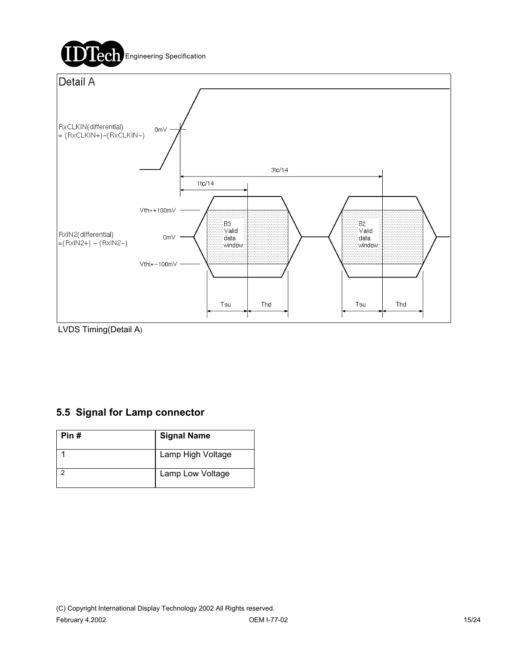

LVDS Timing(Detail A)

## **5.5 Signal for Lamp connector**

| Pin# | <b>Signal Name</b> |
|------|--------------------|
|      | Lamp High Voltage  |
|      | Lamp Low Voltage   |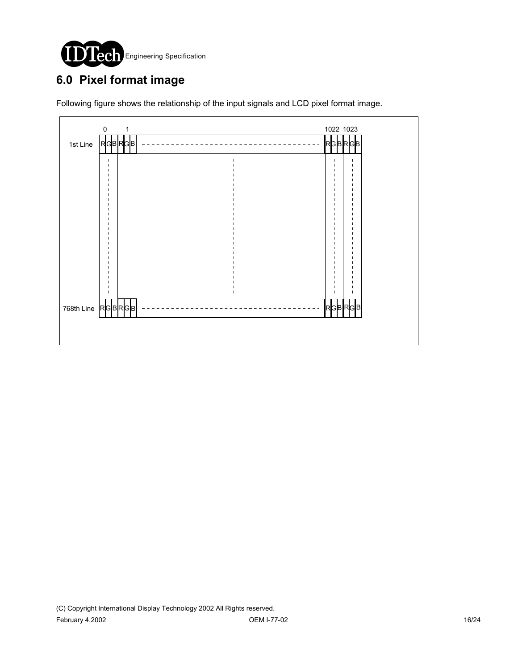

# **6.0 Pixel format image**

Following figure shows the relationship of the input signals and LCD pixel format image.

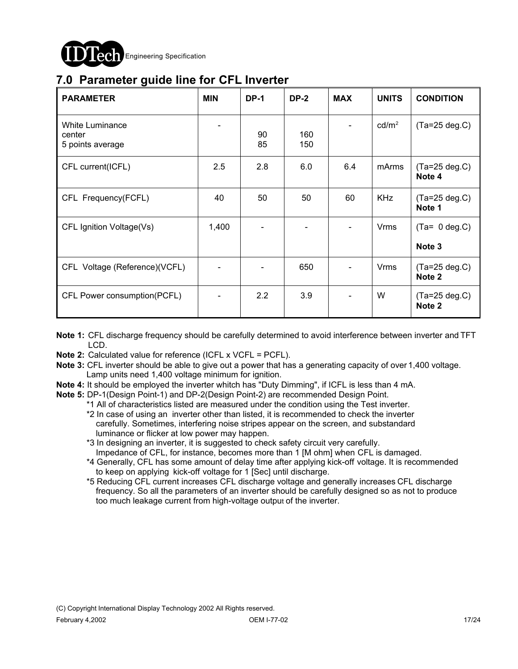

## **7.0 Parameter guide line for CFL Inverter**

| <b>PARAMETER</b>                                     | <b>MIN</b> | <b>DP-1</b> | <b>DP-2</b> | <b>MAX</b> | <b>UNITS</b>      | <b>CONDITION</b>                     |
|------------------------------------------------------|------------|-------------|-------------|------------|-------------------|--------------------------------------|
| <b>White Luminance</b><br>center<br>5 points average |            | 90<br>85    | 160<br>150  |            | cd/m <sup>2</sup> | $(Ta=25 deg.C)$                      |
| CFL current(ICFL)                                    | 2.5        | 2.8         | 6.0         | 6.4        | mArms             | $(Ta=25 deg.C)$<br>Note 4            |
| CFL Frequency(FCFL)                                  | 40         | 50          | 50          | 60         | <b>KHz</b>        | $(Ta=25 \text{ deg.C})$<br>Note 1    |
| CFL Ignition Voltage(Vs)                             | 1,400      |             |             |            | <b>Vrms</b>       | $(Ta= 0 deg.C)$<br>Note <sub>3</sub> |
| CFL Voltage (Reference)(VCFL)                        |            |             | 650         |            | <b>Vrms</b>       | $(Ta=25 deg.C)$<br>Note 2            |
| CFL Power consumption(PCFL)                          |            | 2.2         | 3.9         |            | W                 | $(Ta=25 deg.C)$<br>Note 2            |

- **Note 1:** CFL discharge frequency should be carefully determined to avoid interference between inverter and TFT LCD.
- **Note 2:** Calculated value for reference (ICFL x VCFL = PCFL).
- **Note 3:** CFL inverter should be able to give out a power that has a generating capacity of over 1,400 voltage. Lamp units need 1,400 voltage minimum for ignition.
- **Note 4:** It should be employed the inverter whitch has "Duty Dimming", if ICFL is less than 4 mA.
- **Note 5:** DP-1(Design Point-1) and DP-2(Design Point-2) are recommended Design Point.

\*1 All of characteristics listed are measured under the condition using the Test inverter.

- \*2 In case of using an inverter other than listed, it is recommended to check the inverter carefully. Sometimes, interfering noise stripes appear on the screen, and substandard luminance or flicker at low power may happen.
- \*3 In designing an inverter, it is suggested to check safety circuit very carefully. Impedance of CFL, for instance, becomes more than 1 [M ohm] when CFL is damaged.
- \*4 Generally, CFL has some amount of delay time after applying kick-off voltage. It is recommended to keep on applying kick-off voltage for 1 [Sec] until discharge.
- \*5 Reducing CFL current increases CFL discharge voltage and generally increases CFL discharge frequency. So all the parameters of an inverter should be carefully designed so as not to produce too much leakage current from high-voltage output of the inverter.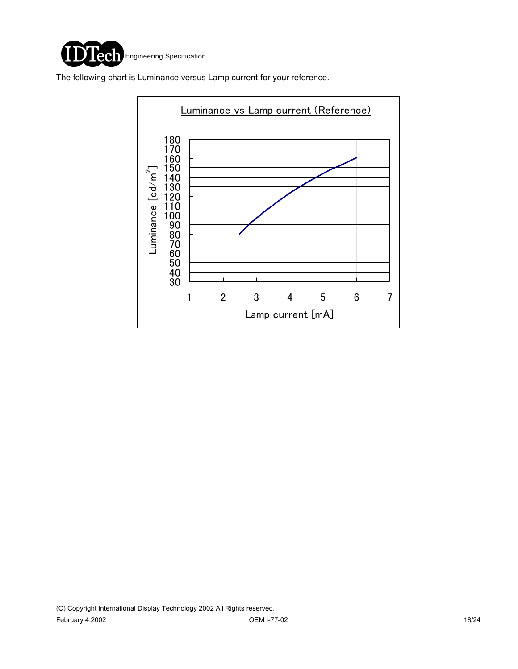

The following chart is Luminance versus Lamp current for your reference.

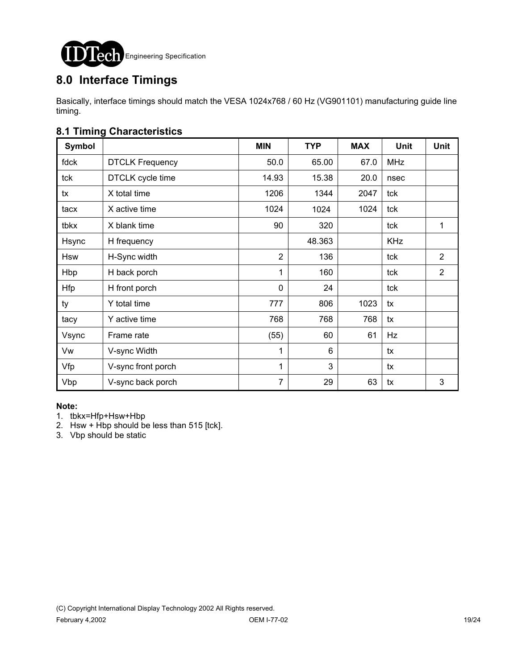

# **8.0 Interface Timings**

Basically, interface timings should match the VESA 1024x768 / 60 Hz (VG901101) manufacturing guide line timing.

### **8.1 Timing Characteristics**

| <b>Symbol</b> |                        | <b>MIN</b>     | <b>TYP</b> | <b>MAX</b> | <b>Unit</b> | <b>Unit</b>    |
|---------------|------------------------|----------------|------------|------------|-------------|----------------|
| fdck          | <b>DTCLK Frequency</b> | 50.0           | 65.00      | 67.0       | <b>MHz</b>  |                |
| tck           | DTCLK cycle time       | 14.93          | 15.38      | 20.0       | nsec        |                |
| tx            | X total time           | 1206           | 1344       | 2047       | tck         |                |
| tacx          | X active time          | 1024           | 1024       | 1024       | tck         |                |
| tbkx          | X blank time           | 90             | 320        |            | tck         | 1              |
| Hsync         | H frequency            |                | 48.363     |            | <b>KHz</b>  |                |
| <b>Hsw</b>    | H-Sync width           | $\overline{2}$ | 136        |            | tck         | $\overline{2}$ |
| Hbp           | H back porch           | 1              | 160        |            | tck         | $\overline{2}$ |
| <b>Hfp</b>    | H front porch          | $\mathbf{0}$   | 24         |            | tck         |                |
| ty            | Y total time           | 777            | 806        | 1023       | tx          |                |
| tacy          | Y active time          | 768            | 768        | 768        | tx          |                |
| Vsync         | Frame rate             | (55)           | 60         | 61         | Hz          |                |
| Vw            | V-sync Width           | 1              | 6          |            | tx          |                |
| Vfp           | V-sync front porch     | 1              | 3          |            | tx          |                |
| Vbp           | V-sync back porch      | 7              | 29         | 63         | tx          | 3              |

#### **Note:**

- 1. tbkx=Hfp+Hsw+Hbp
- 2. Hsw + Hbp should be less than  $515$  [tck].
- 3. Vbp should be static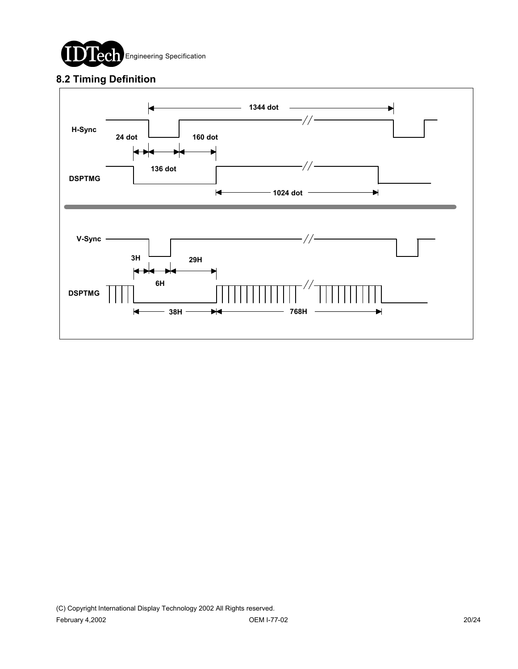

### **8.2 Timing Definition**

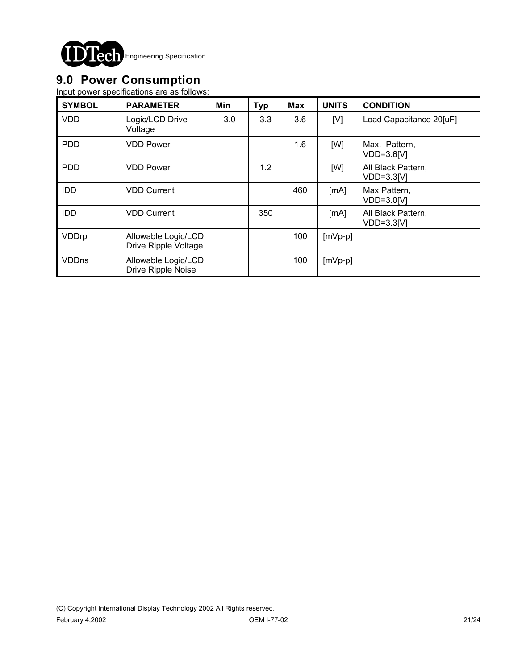

# **9.0 Power Consumption**

Input power specifications are as follows;

| <b>SYMBOL</b> | <b>PARAMETER</b>                            | Min | <b>Typ</b> | <b>Max</b> | <b>UNITS</b> | <b>CONDITION</b>                   |
|---------------|---------------------------------------------|-----|------------|------------|--------------|------------------------------------|
| <b>VDD</b>    | Logic/LCD Drive<br>Voltage                  | 3.0 | 3.3        | 3.6        | [V]          | Load Capacitance 20[uF]            |
| <b>PDD</b>    | <b>VDD Power</b>                            |     |            | 1.6        | [W]          | Max. Pattern,<br>$VDD=3.6[V]$      |
| <b>PDD</b>    | <b>VDD Power</b>                            |     | 1.2        |            | [W]          | All Black Pattern,<br>$VDD=3.3[V]$ |
| <b>IDD</b>    | <b>VDD Current</b>                          |     |            | 460        | [mA]         | Max Pattern,<br>VDD=3.0[V]         |
| <b>IDD</b>    | <b>VDD Current</b>                          |     | 350        |            | [mA]         | All Black Pattern,<br>$VDD=3.3[V]$ |
| VDDrp         | Allowable Logic/LCD<br>Drive Ripple Voltage |     |            | 100        | $[mVp-p]$    |                                    |
| VDDns         | Allowable Logic/LCD<br>Drive Ripple Noise   |     |            | 100        | $[mVp-p]$    |                                    |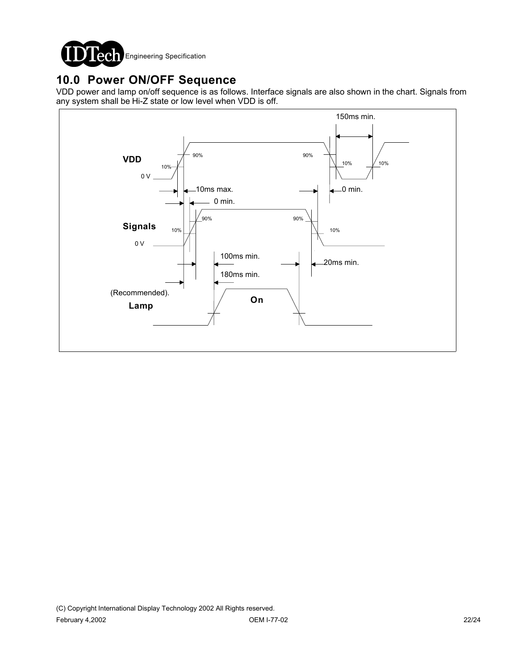

## **10.0 Power ON/OFF Sequence**

VDD power and lamp on/off sequence is as follows. Interface signals are also shown in the chart. Signals from any system shall be Hi-Z state or low level when VDD is off.

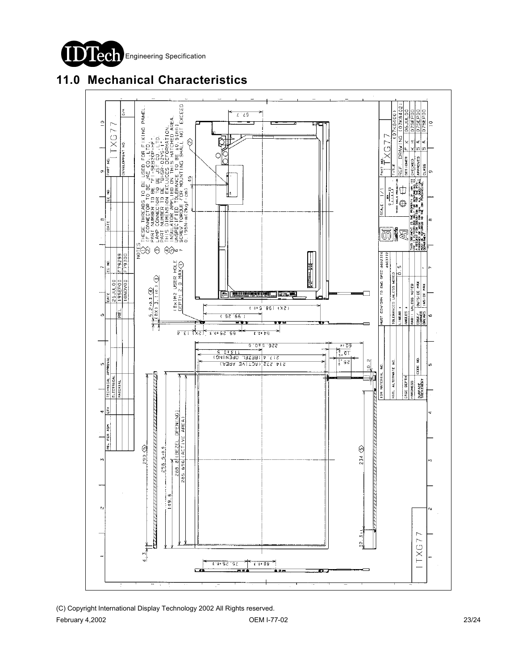

## **11.0 Mechanical Characteristics**